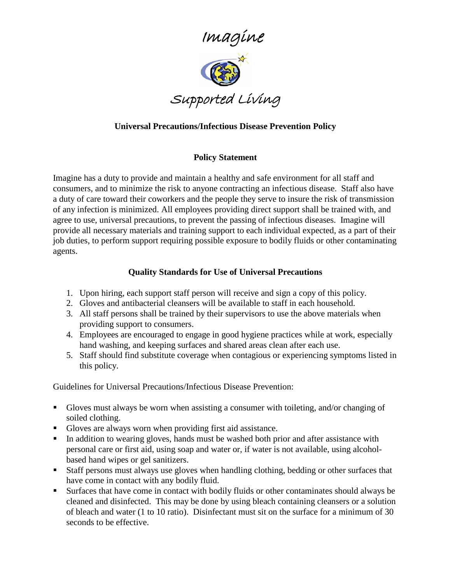

## **Universal Precautions/Infectious Disease Prevention Policy**

## **Policy Statement**

Imagine has a duty to provide and maintain a healthy and safe environment for all staff and consumers, and to minimize the risk to anyone contracting an infectious disease. Staff also have a duty of care toward their coworkers and the people they serve to insure the risk of transmission of any infection is minimized. All employees providing direct support shall be trained with, and agree to use, universal precautions, to prevent the passing of infectious diseases. Imagine will provide all necessary materials and training support to each individual expected, as a part of their job duties, to perform support requiring possible exposure to bodily fluids or other contaminating agents.

## **Quality Standards for Use of Universal Precautions**

- 1. Upon hiring, each support staff person will receive and sign a copy of this policy.
- 2. Gloves and antibacterial cleansers will be available to staff in each household.
- 3. All staff persons shall be trained by their supervisors to use the above materials when providing support to consumers.
- 4. Employees are encouraged to engage in good hygiene practices while at work, especially hand washing, and keeping surfaces and shared areas clean after each use.
- 5. Staff should find substitute coverage when contagious or experiencing symptoms listed in this policy.

Guidelines for Universal Precautions/Infectious Disease Prevention:

- Gloves must always be worn when assisting a consumer with toileting, and/or changing of soiled clothing.
- Gloves are always worn when providing first aid assistance.
- In addition to wearing gloves, hands must be washed both prior and after assistance with personal care or first aid, using soap and water or, if water is not available, using alcoholbased hand wipes or gel sanitizers.
- Staff persons must always use gloves when handling clothing, bedding or other surfaces that have come in contact with any bodily fluid.
- Surfaces that have come in contact with bodily fluids or other contaminates should always be cleaned and disinfected. This may be done by using bleach containing cleansers or a solution of bleach and water (1 to 10 ratio). Disinfectant must sit on the surface for a minimum of 30 seconds to be effective.